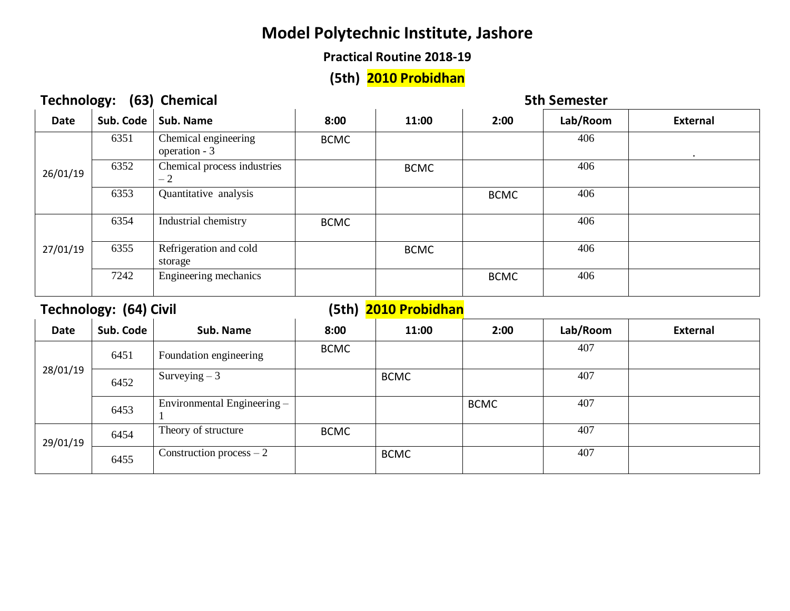#### **Practical Routine 2018-19**

#### **(5th) 2010 Probidhan**

| (63) Chemical<br><b>Technology:</b> |           |                                       |             | <b>5th Semester</b> |             |          |                 |  |
|-------------------------------------|-----------|---------------------------------------|-------------|---------------------|-------------|----------|-----------------|--|
| <b>Date</b>                         | Sub. Code | Sub. Name                             | 8:00        | 11:00               | 2:00        | Lab/Room | <b>External</b> |  |
| 26/01/19                            | 6351      | Chemical engineering<br>operation - 3 | <b>BCMC</b> |                     |             | 406      |                 |  |
|                                     | 6352      | Chemical process industries<br>$-2$   |             | <b>BCMC</b>         |             | 406      |                 |  |
|                                     | 6353      | Quantitative analysis                 |             |                     | <b>BCMC</b> | 406      |                 |  |
|                                     | 6354      | Industrial chemistry                  | <b>BCMC</b> |                     |             | 406      |                 |  |
| 27/01/19                            | 6355      | Refrigeration and cold<br>storage     |             | <b>BCMC</b>         |             | 406      |                 |  |
|                                     | 7242      | Engineering mechanics                 |             |                     | <b>BCMC</b> | 406      |                 |  |

## Technology: (64) Civil **Company** (5th) 2010 Probidhan

| <b>Date</b> | Sub. Code | Sub. Name                   | 8:00        | 11:00       | 2:00        | Lab/Room | <b>External</b> |
|-------------|-----------|-----------------------------|-------------|-------------|-------------|----------|-----------------|
| 28/01/19    | 6451      | Foundation engineering      | <b>BCMC</b> |             |             | 407      |                 |
|             | 6452      | Surveying $-3$              |             | <b>BCMC</b> |             | 407      |                 |
|             | 6453      | Environmental Engineering - |             |             | <b>BCMC</b> | 407      |                 |
| 29/01/19    | 6454      | Theory of structure         | <b>BCMC</b> |             |             | 407      |                 |
|             | 6455      | Construction process $-2$   |             | <b>BCMC</b> |             | 407      |                 |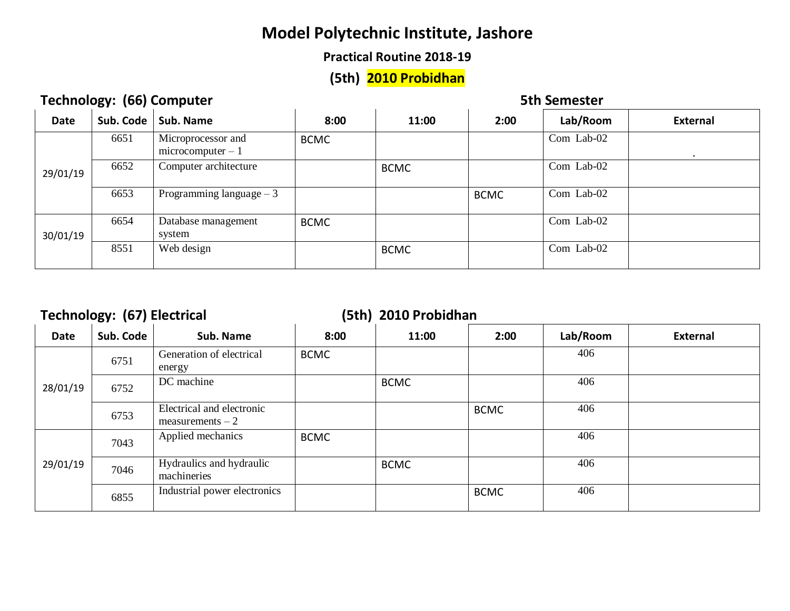#### **Practical Routine 2018-19**

# **(5th) 2010 Probidhan**

#### **Technology: (66) Computer 6th Semester** 5th Semester

| <b>Date</b> | Sub. Code | Sub. Name                                 | 8:00        | 11:00       | 2:00        | Lab/Room   | External  |
|-------------|-----------|-------------------------------------------|-------------|-------------|-------------|------------|-----------|
|             | 6651      | Microprocessor and<br>$microcomputer - 1$ | <b>BCMC</b> |             |             | Com Lab-02 | $\bullet$ |
| 29/01/19    | 6652      | Computer architecture                     |             | <b>BCMC</b> |             | Com Lab-02 |           |
|             | 6653      | Programming language $-3$                 |             |             | <b>BCMC</b> | Com Lab-02 |           |
| 30/01/19    | 6654      | Database management<br>system             | <b>BCMC</b> |             |             | Com Lab-02 |           |
|             | 8551      | Web design                                |             | <b>BCMC</b> |             | Com Lab-02 |           |

#### **Technology: (67) Electrical (5th) 2010 Probidhan**

| <b>Date</b> | Sub. Code | Sub. Name                                       | 8:00        | 11:00       | 2:00        | Lab/Room | <b>External</b> |
|-------------|-----------|-------------------------------------------------|-------------|-------------|-------------|----------|-----------------|
| 28/01/19    | 6751      | Generation of electrical<br>energy              | <b>BCMC</b> |             |             | 406      |                 |
|             | 6752      | DC machine                                      |             | <b>BCMC</b> |             | 406      |                 |
|             | 6753      | Electrical and electronic<br>$measurements - 2$ |             |             | <b>BCMC</b> | 406      |                 |
| 29/01/19    | 7043      | Applied mechanics                               | <b>BCMC</b> |             |             | 406      |                 |
|             | 7046      | Hydraulics and hydraulic<br>machineries         |             | <b>BCMC</b> |             | 406      |                 |
|             | 6855      | Industrial power electronics                    |             |             | <b>BCMC</b> | 406      |                 |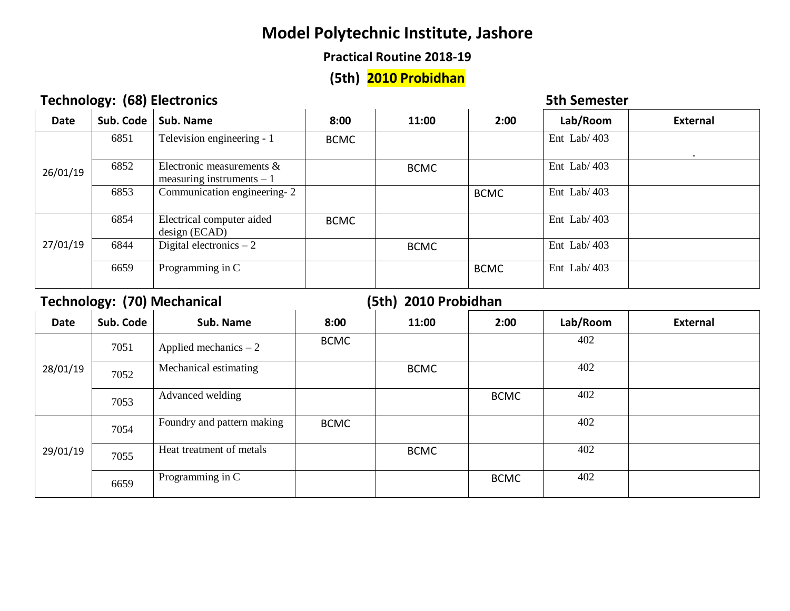#### **Practical Routine 2018-19**

## **(5th) 2010 Probidhan**

# **Technology: (68) Electronics** Electronics and the setter of the setter of the setter of the setter of the setter of the setter of the setter of the setter of the setter of the setter of the setter of the set of the set of

| <b>Date</b> | Sub. Code | Sub. Name                                                  | 8:00        | 11:00       | 2:00        | Lab/Room       | External  |
|-------------|-----------|------------------------------------------------------------|-------------|-------------|-------------|----------------|-----------|
|             | 6851      | Television engineering - 1                                 | <b>BCMC</b> |             |             | Ent Lab/ $403$ | $\bullet$ |
| 26/01/19    | 6852      | Electronic measurements $\&$<br>measuring instruments $-1$ |             | <b>BCMC</b> |             | Ent Lab/ $403$ |           |
|             | 6853      | Communication engineering-2                                |             |             | <b>BCMC</b> | Ent Lab/ $403$ |           |
| 27/01/19    | 6854      | Electrical computer aided<br>design (ECAD)                 | <b>BCMC</b> |             |             | Ent Lab/ $403$ |           |
|             | 6844      | Digital electronics $-2$                                   |             | <b>BCMC</b> |             | Ent Lab/ $403$ |           |
|             | 6659      | Programming in C                                           |             |             | <b>BCMC</b> | Ent Lab/ $403$ |           |

## **Technology: (70) Mechanical (5th) 2010 Probidhan**

| <b>Date</b> | Sub. Code | Sub. Name                  | 8:00        | 11:00       | 2:00        | Lab/Room | <b>External</b> |
|-------------|-----------|----------------------------|-------------|-------------|-------------|----------|-----------------|
| 28/01/19    | 7051      | Applied mechanics $-2$     | <b>BCMC</b> |             |             | 402      |                 |
|             | 7052      | Mechanical estimating      |             | <b>BCMC</b> |             | 402      |                 |
|             | 7053      | Advanced welding           |             |             | <b>BCMC</b> | 402      |                 |
| 29/01/19    | 7054      | Foundry and pattern making | <b>BCMC</b> |             |             | 402      |                 |
|             | 7055      | Heat treatment of metals   |             | <b>BCMC</b> |             | 402      |                 |
|             | 6659      | Programming in C           |             |             | <b>BCMC</b> | 402      |                 |